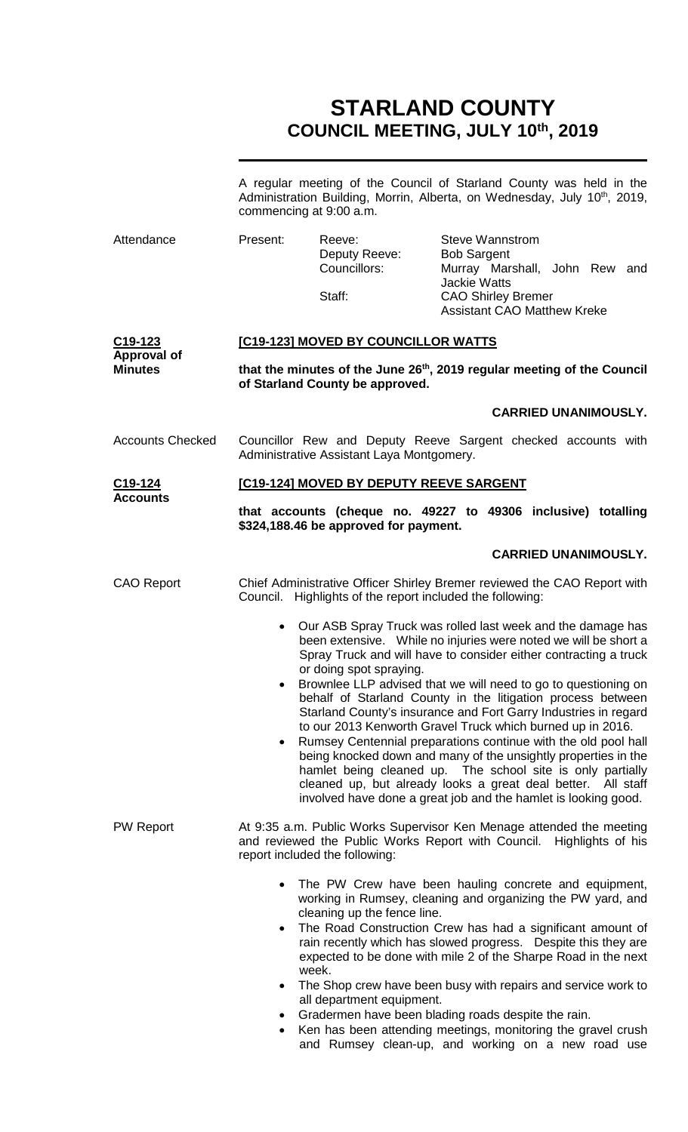# **STARLAND COUNTY COUNCIL MEETING, JULY 10th, 2019**

|                                                              | A regular meeting of the Council of Starland County was held in the<br>Administration Building, Morrin, Alberta, on Wednesday, July 10 <sup>th</sup> , 2019,<br>commencing at 9:00 a.m.                                                                                                                                                                                                                                                                                                             |                                                     |                                                                                                                                                                                                                                                                                                                                                                                                                                                                   |  |  |  |
|--------------------------------------------------------------|-----------------------------------------------------------------------------------------------------------------------------------------------------------------------------------------------------------------------------------------------------------------------------------------------------------------------------------------------------------------------------------------------------------------------------------------------------------------------------------------------------|-----------------------------------------------------|-------------------------------------------------------------------------------------------------------------------------------------------------------------------------------------------------------------------------------------------------------------------------------------------------------------------------------------------------------------------------------------------------------------------------------------------------------------------|--|--|--|
| Attendance                                                   | Present:                                                                                                                                                                                                                                                                                                                                                                                                                                                                                            | Reeve:<br>Deputy Reeve:<br>Councillors:             | <b>Steve Wannstrom</b><br><b>Bob Sargent</b><br>Murray Marshall, John Rew and<br><b>Jackie Watts</b>                                                                                                                                                                                                                                                                                                                                                              |  |  |  |
|                                                              |                                                                                                                                                                                                                                                                                                                                                                                                                                                                                                     | Staff:                                              | <b>CAO Shirley Bremer</b><br><b>Assistant CAO Matthew Kreke</b>                                                                                                                                                                                                                                                                                                                                                                                                   |  |  |  |
| C <sub>19</sub> -123<br><b>Approval of</b><br><b>Minutes</b> | [C19-123] MOVED BY COUNCILLOR WATTS                                                                                                                                                                                                                                                                                                                                                                                                                                                                 |                                                     |                                                                                                                                                                                                                                                                                                                                                                                                                                                                   |  |  |  |
|                                                              | that the minutes of the June 26 <sup>th</sup> , 2019 regular meeting of the Council<br>of Starland County be approved.                                                                                                                                                                                                                                                                                                                                                                              |                                                     |                                                                                                                                                                                                                                                                                                                                                                                                                                                                   |  |  |  |
|                                                              |                                                                                                                                                                                                                                                                                                                                                                                                                                                                                                     |                                                     | <b>CARRIED UNANIMOUSLY.</b>                                                                                                                                                                                                                                                                                                                                                                                                                                       |  |  |  |
| <b>Accounts Checked</b>                                      | Councillor Rew and Deputy Reeve Sargent checked accounts with<br>Administrative Assistant Laya Montgomery.                                                                                                                                                                                                                                                                                                                                                                                          |                                                     |                                                                                                                                                                                                                                                                                                                                                                                                                                                                   |  |  |  |
| C <sub>19</sub> -124<br><b>Accounts</b>                      | [C19-124] MOVED BY DEPUTY REEVE SARGENT                                                                                                                                                                                                                                                                                                                                                                                                                                                             |                                                     |                                                                                                                                                                                                                                                                                                                                                                                                                                                                   |  |  |  |
|                                                              | that accounts (cheque no. 49227 to 49306 inclusive) totalling<br>\$324,188.46 be approved for payment.                                                                                                                                                                                                                                                                                                                                                                                              |                                                     |                                                                                                                                                                                                                                                                                                                                                                                                                                                                   |  |  |  |
|                                                              |                                                                                                                                                                                                                                                                                                                                                                                                                                                                                                     |                                                     | <b>CARRIED UNANIMOUSLY.</b>                                                                                                                                                                                                                                                                                                                                                                                                                                       |  |  |  |
| <b>CAO Report</b>                                            | Chief Administrative Officer Shirley Bremer reviewed the CAO Report with<br>Council. Highlights of the report included the following:                                                                                                                                                                                                                                                                                                                                                               |                                                     |                                                                                                                                                                                                                                                                                                                                                                                                                                                                   |  |  |  |
|                                                              | Our ASB Spray Truck was rolled last week and the damage has<br>$\bullet$<br>been extensive. While no injuries were noted we will be short a<br>Spray Truck and will have to consider either contracting a truck<br>or doing spot spraying.<br>Brownlee LLP advised that we will need to go to questioning on<br>behalf of Starland County in the litigation process between                                                                                                                         |                                                     |                                                                                                                                                                                                                                                                                                                                                                                                                                                                   |  |  |  |
|                                                              | $\bullet$                                                                                                                                                                                                                                                                                                                                                                                                                                                                                           |                                                     | Starland County's insurance and Fort Garry Industries in regard<br>to our 2013 Kenworth Gravel Truck which burned up in 2016.<br>Rumsey Centennial preparations continue with the old pool hall<br>being knocked down and many of the unsightly properties in the<br>hamlet being cleaned up. The school site is only partially<br>cleaned up, but already looks a great deal better. All staff<br>involved have done a great job and the hamlet is looking good. |  |  |  |
| <b>PW Report</b>                                             | At 9:35 a.m. Public Works Supervisor Ken Menage attended the meeting<br>and reviewed the Public Works Report with Council. Highlights of his<br>report included the following:                                                                                                                                                                                                                                                                                                                      |                                                     |                                                                                                                                                                                                                                                                                                                                                                                                                                                                   |  |  |  |
|                                                              | The PW Crew have been hauling concrete and equipment,<br>$\bullet$<br>working in Rumsey, cleaning and organizing the PW yard, and<br>cleaning up the fence line.<br>The Road Construction Crew has had a significant amount of<br>$\bullet$<br>rain recently which has slowed progress. Despite this they are<br>expected to be done with mile 2 of the Sharpe Road in the next<br>week.<br>The Shop crew have been busy with repairs and service work to<br>$\bullet$<br>all department equipment. |                                                     |                                                                                                                                                                                                                                                                                                                                                                                                                                                                   |  |  |  |
|                                                              |                                                                                                                                                                                                                                                                                                                                                                                                                                                                                                     | Gradermen have been blading roads despite the rain. |                                                                                                                                                                                                                                                                                                                                                                                                                                                                   |  |  |  |

• Ken has been attending meetings, monitoring the gravel crush and Rumsey clean-up, and working on a new road use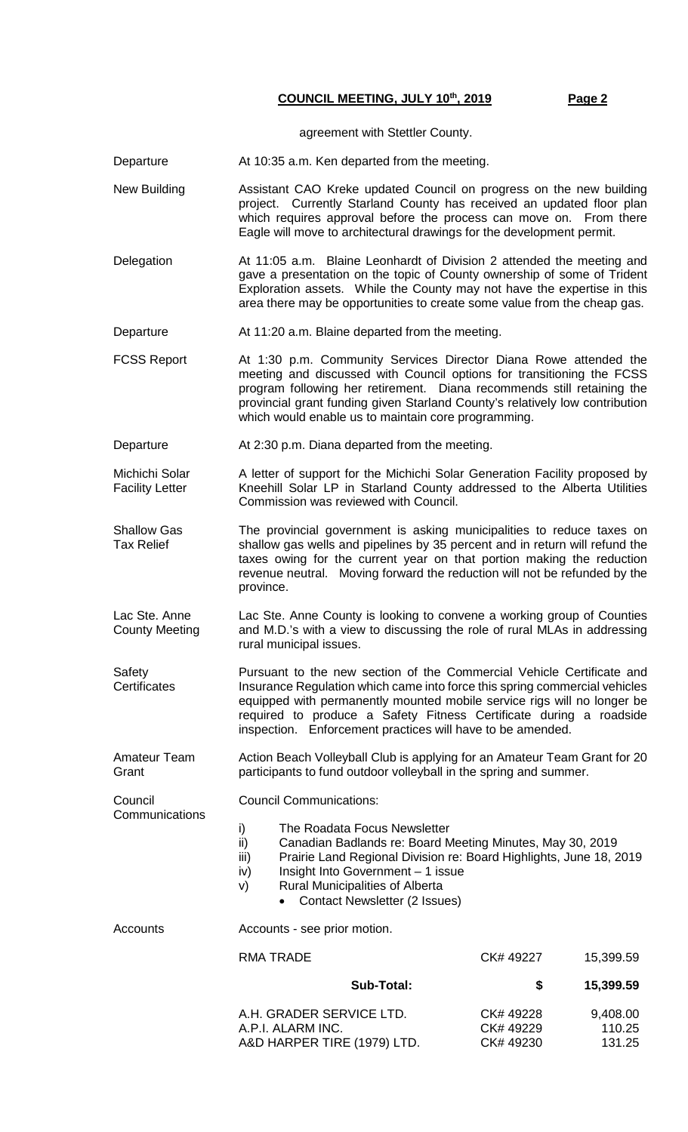**COUNCIL MEETING, JULY 10th, 2019 Page 2**

agreement with Stettler County.

Departure **At 10:35 a.m. Ken departed from the meeting.** 

New Building **Assistant CAO Kreke updated Council on progress on the new building** project. Currently Starland County has received an updated floor plan which requires approval before the process can move on. From there Eagle will move to architectural drawings for the development permit.

Delegation At 11:05 a.m. Blaine Leonhardt of Division 2 attended the meeting and gave a presentation on the topic of County ownership of some of Trident Exploration assets. While the County may not have the expertise in this area there may be opportunities to create some value from the cheap gas.

Departure **At 11:20 a.m. Blaine departed from the meeting.** 

FCSS Report At 1:30 p.m. Community Services Director Diana Rowe attended the meeting and discussed with Council options for transitioning the FCSS program following her retirement. Diana recommends still retaining the provincial grant funding given Starland County's relatively low contribution which would enable us to maintain core programming.

Departure At 2:30 p.m. Diana departed from the meeting.

Michichi Solar Facility Letter A letter of support for the Michichi Solar Generation Facility proposed by Kneehill Solar LP in Starland County addressed to the Alberta Utilities Commission was reviewed with Council.

Shallow Gas Tax Relief The provincial government is asking municipalities to reduce taxes on shallow gas wells and pipelines by 35 percent and in return will refund the taxes owing for the current year on that portion making the reduction revenue neutral. Moving forward the reduction will not be refunded by the province.

Lac Ste. Anne County Meeting Lac Ste. Anne County is looking to convene a working group of Counties and M.D.'s with a view to discussing the role of rural MLAs in addressing rural municipal issues.

**Safety Certificates** Pursuant to the new section of the Commercial Vehicle Certificate and Insurance Regulation which came into force this spring commercial vehicles equipped with permanently mounted mobile service rigs will no longer be required to produce a Safety Fitness Certificate during a roadside inspection. Enforcement practices will have to be amended.

Amateur Team Grant Action Beach Volleyball Club is applying for an Amateur Team Grant for 20 participants to fund outdoor volleyball in the spring and summer.

Council Communications:

- i) The Roadata Focus Newsletter
	- ii) Canadian Badlands re: Board Meeting Minutes, May 30, 2019
	- iii) Prairie Land Regional Division re: Board Highlights, June 18, 2019
	- iv) Insight Into Government 1 issue
	- v) Rural Municipalities of Alberta
		- Contact Newsletter (2 Issues)

**Council** 

**Communications** 

Accounts **Accounts** - see prior motion.

| 15,399.59                    | CK#49227                          | RMA TRADE                                                                    |  |
|------------------------------|-----------------------------------|------------------------------------------------------------------------------|--|
| 15,399.59                    | S                                 | Sub-Total:                                                                   |  |
| 9,408.00<br>110.25<br>131.25 | CK#49228<br>CK#49229<br>CK# 49230 | A.H. GRADER SERVICE LTD.<br>A.P.I. ALARM INC.<br>A&D HARPER TIRE (1979) LTD. |  |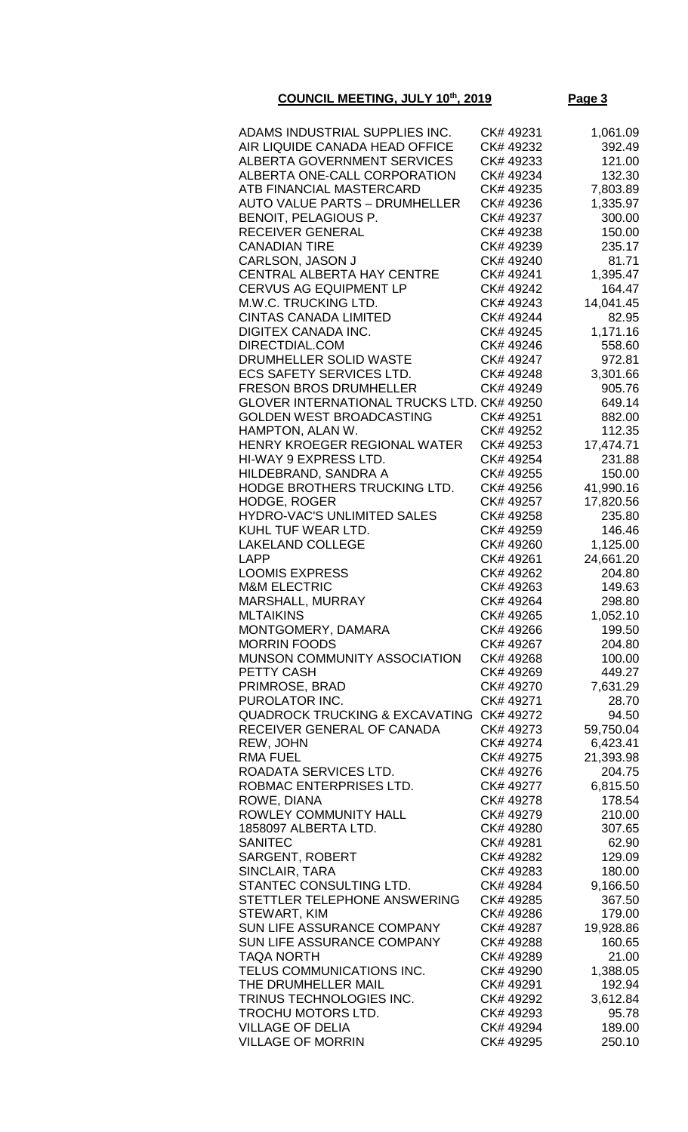## **COUNCIL MEETING, JULY 10th, 2019 Page 3**

| ADAMS INDUSTRIAL SUPPLIES INC.                             | CK# 49231              | 1,061.09            |
|------------------------------------------------------------|------------------------|---------------------|
| AIR LIQUIDE CANADA HEAD OFFICE                             | CK# 49232              | 392.49              |
| ALBERTA GOVERNMENT SERVICES                                | CK# 49233              | 121.00              |
| ALBERTA ONE-CALL CORPORATION                               | CK# 49234              | 132.30              |
| ATB FINANCIAL MASTERCARD                                   | CK# 49235              | 7,803.89            |
| <b>AUTO VALUE PARTS - DRUMHELLER</b>                       | CK# 49236              | 1,335.97            |
| BENOIT, PELAGIOUS P.                                       | CK# 49237              | 300.00              |
| RECEIVER GENERAL                                           | CK# 49238              | 150.00              |
| <b>CANADIAN TIRE</b>                                       | CK# 49239              | 235.17              |
| CARLSON, JASON J                                           | CK# 49240              | 81.71               |
| <b>CENTRAL ALBERTA HAY CENTRE</b>                          | CK# 49241              | 1,395.47            |
| <b>CERVUS AG EQUIPMENT LP</b>                              | CK# 49242              | 164.47              |
| M.W.C. TRUCKING LTD.                                       | CK# 49243              | 14,041.45           |
| <b>CINTAS CANADA LIMITED</b><br><b>DIGITEX CANADA INC.</b> | CK# 49244<br>CK# 49245 | 82.95<br>1,171.16   |
| DIRECTDIAL.COM                                             | CK# 49246              | 558.60              |
| DRUMHELLER SOLID WASTE                                     | CK# 49247              | 972.81              |
| <b>ECS SAFETY SERVICES LTD.</b>                            | CK# 49248              | 3,301.66            |
| <b>FRESON BROS DRUMHELLER</b>                              | CK# 49249              | 905.76              |
| GLOVER INTERNATIONAL TRUCKS LTD. CK# 49250                 |                        | 649.14              |
| <b>GOLDEN WEST BROADCASTING</b>                            | CK# 49251              | 882.00              |
| HAMPTON, ALAN W.                                           | CK# 49252              | 112.35              |
| HENRY KROEGER REGIONAL WATER                               | CK# 49253              | 17,474.71           |
| HI-WAY 9 EXPRESS LTD.                                      | CK# 49254              | 231.88              |
| HILDEBRAND, SANDRA A                                       | CK# 49255              | 150.00              |
| HODGE BROTHERS TRUCKING LTD.                               | CK# 49256              | 41,990.16           |
| <b>HODGE, ROGER</b>                                        | CK# 49257              | 17,820.56           |
| <b>HYDRO-VAC'S UNLIMITED SALES</b>                         | CK# 49258              | 235.80              |
| KUHL TUF WEAR LTD.                                         | CK# 49259              | 146.46              |
| <b>LAKELAND COLLEGE</b>                                    | CK# 49260              | 1,125.00            |
| <b>LAPP</b>                                                | CK# 49261              | 24,661.20           |
| <b>LOOMIS EXPRESS</b>                                      | CK# 49262              | 204.80              |
| <b>M&amp;M ELECTRIC</b>                                    | CK# 49263              | 149.63              |
| MARSHALL, MURRAY                                           | CK# 49264<br>CK# 49265 | 298.80              |
| <b>MLTAIKINS</b><br>MONTGOMERY, DAMARA                     | CK# 49266              | 1,052.10<br>199.50  |
| <b>MORRIN FOODS</b>                                        | CK# 49267              | 204.80              |
| MUNSON COMMUNITY ASSOCIATION                               | CK# 49268              | 100.00              |
| PETTY CASH                                                 | CK# 49269              | 449.27              |
| PRIMROSE, BRAD                                             | CK# 49270              | 7,631.29            |
| PUROLATOR INC.                                             | CK# 49271              | 28.70               |
| <b>QUADROCK TRUCKING &amp; EXCAVATING</b>                  | CK# 49272              | 94.50               |
| RECEIVER GENERAL OF CANADA                                 | CK# 49273              | 59,750.04           |
| REW, JOHN                                                  | CK# 49274              | 6,423.41            |
| <b>RMA FUEL</b>                                            | CK# 49275              | 21,393.98           |
| ROADATA SERVICES LTD.                                      | CK# 49276              | 204.75              |
| ROBMAC ENTERPRISES LTD.                                    | CK# 49277              | 6,815.50            |
| ROWE, DIANA                                                | CK# 49278              | 178.54              |
| ROWLEY COMMUNITY HALL                                      | CK# 49279              | 210.00              |
| 1858097 ALBERTA LTD.                                       | CK# 49280              | 307.65              |
| <b>SANITEC</b>                                             | CK# 49281              | 62.90               |
| <b>SARGENT, ROBERT</b>                                     | CK# 49282              | 129.09              |
| SINCLAIR, TARA                                             | CK# 49283              | 180.00              |
| STANTEC CONSULTING LTD.                                    | CK# 49284              | 9,166.50            |
| STETTLER TELEPHONE ANSWERING                               | CK# 49285              | 367.50              |
| STEWART, KIM<br>SUN LIFE ASSURANCE COMPANY                 | CK# 49286<br>CK# 49287 | 179.00<br>19,928.86 |
| SUN LIFE ASSURANCE COMPANY                                 | CK# 49288              | 160.65              |
| <b>TAQA NORTH</b>                                          | CK# 49289              | 21.00               |
| TELUS COMMUNICATIONS INC.                                  | CK# 49290              | 1,388.05            |
| THE DRUMHELLER MAIL                                        | CK# 49291              | 192.94              |
| TRINUS TECHNOLOGIES INC.                                   | CK# 49292              | 3,612.84            |
| TROCHU MOTORS LTD.                                         | CK# 49293              | 95.78               |
| <b>VILLAGE OF DELIA</b>                                    | CK# 49294              | 189.00              |
| <b>VILLAGE OF MORRIN</b>                                   | CK# 49295              | 250.10              |